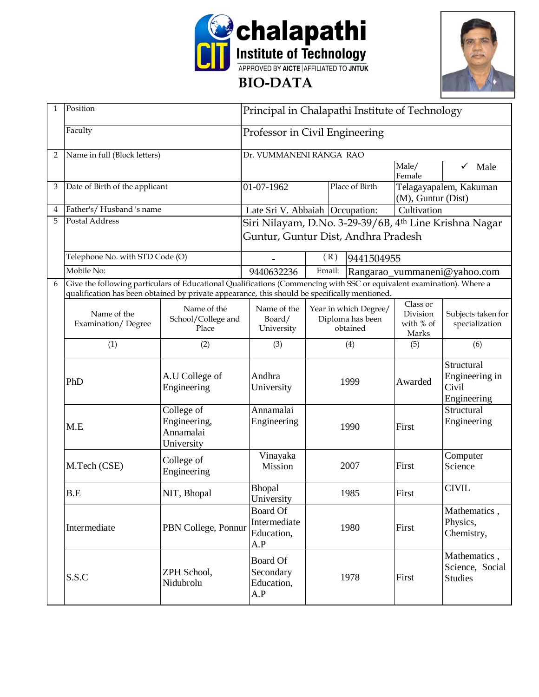



| 1              | Position                                                                                                                                                                                                               |                                                                                     | Principal in Chalapathi Institute of Technology |                                        |                                                       |                                                        |                                                      |  |  |
|----------------|------------------------------------------------------------------------------------------------------------------------------------------------------------------------------------------------------------------------|-------------------------------------------------------------------------------------|-------------------------------------------------|----------------------------------------|-------------------------------------------------------|--------------------------------------------------------|------------------------------------------------------|--|--|
|                | Faculty                                                                                                                                                                                                                |                                                                                     | Professor in Civil Engineering                  |                                        |                                                       |                                                        |                                                      |  |  |
| $\overline{2}$ | Name in full (Block letters)                                                                                                                                                                                           |                                                                                     | Dr. VUMMANENI RANGA RAO                         |                                        |                                                       |                                                        |                                                      |  |  |
|                |                                                                                                                                                                                                                        |                                                                                     |                                                 |                                        |                                                       | Male/<br>Female                                        | $\checkmark$<br>Male                                 |  |  |
| 3              | Date of Birth of the applicant                                                                                                                                                                                         |                                                                                     | 01-07-1962                                      | Place of Birth                         |                                                       | Telagayapalem, Kakuman<br>(M), Guntur (Dist)           |                                                      |  |  |
| 4              | Father's/Husband 's name                                                                                                                                                                                               |                                                                                     | Late Sri V. Abbaiah   Occupation:               |                                        | Cultivation                                           |                                                        |                                                      |  |  |
| 5              | Postal Address                                                                                                                                                                                                         |                                                                                     |                                                 |                                        |                                                       | Siri Nilayam, D.No. 3-29-39/6B, 4th Line Krishna Nagar |                                                      |  |  |
|                |                                                                                                                                                                                                                        |                                                                                     | Guntur, Guntur Dist, Andhra Pradesh             |                                        |                                                       |                                                        |                                                      |  |  |
|                | Telephone No. with STD Code (O)                                                                                                                                                                                        |                                                                                     |                                                 | (R)                                    | 9441504955                                            |                                                        |                                                      |  |  |
|                | Mobile No:                                                                                                                                                                                                             |                                                                                     | 9440632236                                      | Email:<br>Rangarao_vummaneni@yahoo.com |                                                       |                                                        |                                                      |  |  |
| 6              | Give the following particulars of Educational Qualifications (Commencing with SSC or equivalent examination). Where a<br>qualification has been obtained by private appearance, this should be specifically mentioned. |                                                                                     |                                                 |                                        |                                                       |                                                        |                                                      |  |  |
|                | Name of the<br>Examination/Degree                                                                                                                                                                                      | Name of the<br>School/College and<br>Place                                          | Name of the<br>Board/<br>University             |                                        | Year in which Degree/<br>Diploma has been<br>obtained | Class or<br>Division<br>with % of<br>Marks             | Subjects taken for<br>specialization                 |  |  |
|                | (1)                                                                                                                                                                                                                    | (2)                                                                                 | (3)                                             | (4)                                    |                                                       | (5)                                                    | (6)                                                  |  |  |
|                | PhD                                                                                                                                                                                                                    | A.U College of<br>Engineering                                                       | Andhra<br>University                            | 1999<br>1990                           |                                                       | Awarded                                                | Structural<br>Engineering in<br>Civil<br>Engineering |  |  |
|                | M.E                                                                                                                                                                                                                    | College of<br>Engineering,<br>Annamalai<br>University                               | Annamalai<br>Engineering                        |                                        |                                                       | First                                                  | Structural<br>Engineering                            |  |  |
|                | M.Tech (CSE)                                                                                                                                                                                                           | College of<br>Engineering                                                           | Vinayaka<br>Mission                             | 2007                                   |                                                       | First                                                  | Computer<br>Science                                  |  |  |
|                | B.E<br>NIT, Bhopal                                                                                                                                                                                                     |                                                                                     | Bhopal<br>University                            | 1985                                   |                                                       | First                                                  | <b>CIVIL</b>                                         |  |  |
|                | Intermediate                                                                                                                                                                                                           | <b>Board Of</b><br>Intermediate<br>PBN College, Ponnur<br>1980<br>Education,<br>A.P |                                                 |                                        | First                                                 | Mathematics,<br>Physics,<br>Chemistry,                 |                                                      |  |  |
|                | S.S.C                                                                                                                                                                                                                  | ZPH School,<br>Nidubrolu                                                            | Board Of<br>Secondary<br>Education,<br>A.P      | 1978                                   |                                                       | First                                                  | Mathematics,<br>Science, Social<br><b>Studies</b>    |  |  |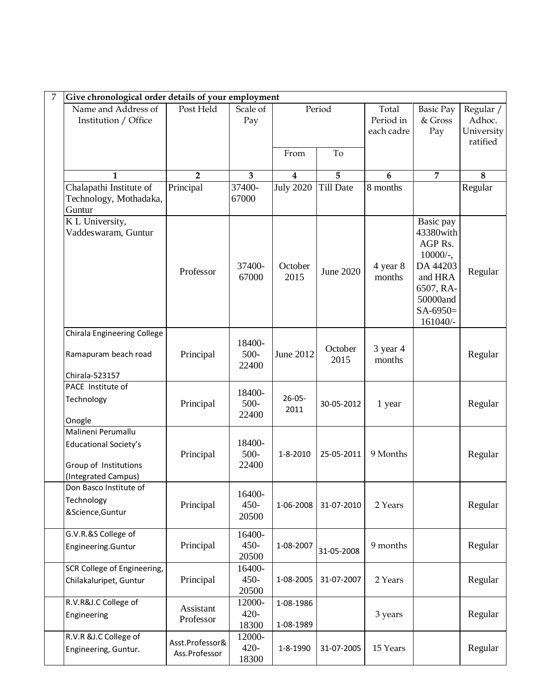|                                                                                             | Give chronological order details of your employment |                            |                        |                  |                                  |                                                                                                                            |                                               |  |  |  |
|---------------------------------------------------------------------------------------------|-----------------------------------------------------|----------------------------|------------------------|------------------|----------------------------------|----------------------------------------------------------------------------------------------------------------------------|-----------------------------------------------|--|--|--|
| Name and Address of<br>Institution / Office                                                 | Post Held                                           | Scale of<br>Pay            | Period                 |                  | Total<br>Period in<br>each cadre | <b>Basic Pay</b><br>& Gross<br>Pay                                                                                         | Regular /<br>Adhoc.<br>University<br>ratified |  |  |  |
|                                                                                             |                                                     |                            | From                   | To               |                                  |                                                                                                                            |                                               |  |  |  |
| 1                                                                                           | $\overline{2}$                                      | $\overline{\mathbf{3}}$    | 4                      | 5                | 6                                | $\overline{7}$                                                                                                             | 8                                             |  |  |  |
| Chalapathi Institute of<br>Technology, Mothadaka,<br>Guntur                                 | Principal                                           | 37400-<br>67000            | <b>July 2020</b>       | <b>Till Date</b> | 8 months                         |                                                                                                                            | Regular                                       |  |  |  |
| K L University,<br>Vaddeswaram, Guntur                                                      | Professor                                           | 37400-<br>67000            | October<br>2015        | <b>June 2020</b> | 4 year 8<br>months               | Basic pay<br>43380with<br>AGP Rs.<br>$10000/$ -,<br>DA 44203<br>and HRA<br>6507, RA-<br>50000and<br>$SA-6950=$<br>161040/- | Regular                                       |  |  |  |
| Chirala Engineering College<br>Ramapuram beach road<br>Chirala-523157                       | Principal                                           | 18400-<br>$500 -$<br>22400 | June 2012              | October<br>2015  | 3 year 4<br>months               |                                                                                                                            | Regular                                       |  |  |  |
| PACE Institute of<br>Technology<br>Onogle                                                   | Principal                                           | 18400-<br>500-<br>22400    | $26 - 05 -$<br>2011    | 30-05-2012       | 1 year                           |                                                                                                                            | Regular                                       |  |  |  |
| Malineni Perumallu<br>Educational Society's<br>Group of Institutions<br>(Integrated Campus) | Principal                                           | 18400-<br>$500 -$<br>22400 | 1-8-2010               | 25-05-2011       | 9 Months                         |                                                                                                                            | Regular                                       |  |  |  |
| Don Basco Institute of<br>Technology<br>&Science, Guntur                                    | Principal                                           | 16400-<br>$450 -$<br>20500 | 1-06-2008              | 31-07-2010       | 2 Years                          |                                                                                                                            | Regular                                       |  |  |  |
| G.V.R.&S College of<br>Engineering.Guntur                                                   | Principal                                           | 16400-<br>$450 -$<br>20500 | 1-08-2007              | 31-05-2008       | 9 months                         |                                                                                                                            | Regular                                       |  |  |  |
| SCR College of Engineering,<br>Chilakaluripet, Guntur                                       | Principal                                           | 16400-<br>$450 -$<br>20500 | 1-08-2005              | 31-07-2007       | 2 Years                          |                                                                                                                            | Regular                                       |  |  |  |
| R.V.R&J.C College of<br>Engineering                                                         | Assistant<br>Professor                              | 12000-<br>$420 -$<br>18300 | 1-08-1986<br>1-08-1989 |                  | 3 years                          |                                                                                                                            | Regular                                       |  |  |  |
| R.V.R &J.C College of<br>Engineering, Guntur.                                               | Asst.Professor&<br>Ass.Professor                    | 12000-<br>$420 -$<br>18300 | 1-8-1990               | 31-07-2005       | 15 Years                         |                                                                                                                            | Regular                                       |  |  |  |